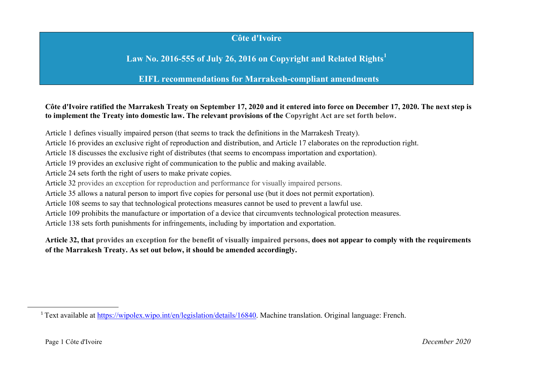## **Côte d'Ivoire**

**Law No. 2016-555 of July 26, 2016 on Copyright and Related Rights<sup>1</sup>**

**EIFL recommendations for Marrakesh-compliant amendments**

**Côte d'Ivoire ratified the Marrakesh Treaty on September 17, 2020 and it entered into force on December 17, 2020. The next step is to implement the Treaty into domestic law. The relevant provisions of the Copyright Act are set forth below.**

Article 1 defines visually impaired person (that seems to track the definitions in the Marrakesh Treaty). Article 16 provides an exclusive right of reproduction and distribution, and Article 17 elaborates on the reproduction right. Article 18 discusses the exclusive right of distributes (that seems to encompass importation and exportation). Article 19 provides an exclusive right of communication to the public and making available. Article 24 sets forth the right of users to make private copies. Article 32 provides an exception for reproduction and performance for visually impaired persons. Article 35 allows a natural person to import five copies for personal use (but it does not permit exportation). Article 108 seems to say that technological protections measures cannot be used to prevent a lawful use. Article 109 prohibits the manufacture or importation of a device that circumvents technological protection measures. Article 138 sets forth punishments for infringements, including by importation and exportation.

**Article 32, that provides an exception for the benefit of visually impaired persons, does not appear to comply with the requirements of the Marrakesh Treaty. As set out below, it should be amended accordingly.**

 

<sup>1</sup> Text available at https://wipolex.wipo.int/en/legislation/details/16840. Machine translation. Original language: French.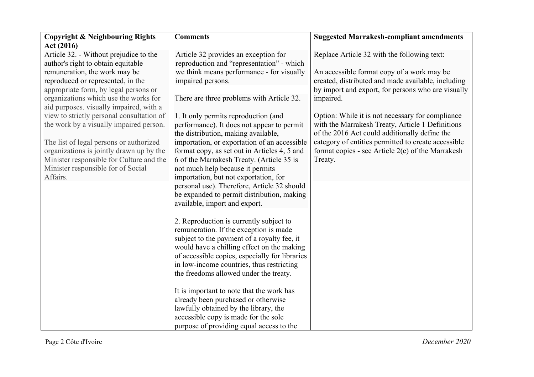| <b>Copyright &amp; Neighbouring Rights</b><br>Act (2016)                                                                                                                                                                                                                                                                                                      | <b>Comments</b>                                                                                                                                                                                                                                                                                                                                                                                                                                                                                                                                                           | <b>Suggested Marrakesh-compliant amendments</b>                                                                                                                                                                                                                                           |
|---------------------------------------------------------------------------------------------------------------------------------------------------------------------------------------------------------------------------------------------------------------------------------------------------------------------------------------------------------------|---------------------------------------------------------------------------------------------------------------------------------------------------------------------------------------------------------------------------------------------------------------------------------------------------------------------------------------------------------------------------------------------------------------------------------------------------------------------------------------------------------------------------------------------------------------------------|-------------------------------------------------------------------------------------------------------------------------------------------------------------------------------------------------------------------------------------------------------------------------------------------|
| Article 32. - Without prejudice to the<br>author's right to obtain equitable<br>remuneration, the work may be<br>reproduced or represented, in the<br>appropriate form, by legal persons or                                                                                                                                                                   | Article 32 provides an exception for<br>reproduction and "representation" - which<br>we think means performance - for visually<br>impaired persons.                                                                                                                                                                                                                                                                                                                                                                                                                       | Replace Article 32 with the following text:<br>An accessible format copy of a work may be<br>created, distributed and made available, including<br>by import and export, for persons who are visually                                                                                     |
| organizations which use the works for<br>aid purposes. visually impaired, with a<br>view to strictly personal consultation of<br>the work by a visually impaired person.<br>The list of legal persons or authorized<br>organizations is jointly drawn up by the<br>Minister responsible for Culture and the<br>Minister responsible for of Social<br>Affairs. | There are three problems with Article 32.<br>1. It only permits reproduction (and<br>performance). It does not appear to permit<br>the distribution, making available,<br>importation, or exportation of an accessible<br>format copy, as set out in Articles 4, 5 and<br>6 of the Marrakesh Treaty. (Article 35 is<br>not much help because it permits<br>importation, but not exportation, for<br>personal use). Therefore, Article 32 should<br>be expanded to permit distribution, making                                                                             | impaired.<br>Option: While it is not necessary for compliance<br>with the Marrakesh Treaty, Article 1 Definitions<br>of the 2016 Act could additionally define the<br>category of entities permitted to create accessible<br>format copies - see Article 2(c) of the Marrakesh<br>Treaty. |
|                                                                                                                                                                                                                                                                                                                                                               | available, import and export.<br>2. Reproduction is currently subject to<br>remuneration. If the exception is made<br>subject to the payment of a royalty fee, it<br>would have a chilling effect on the making<br>of accessible copies, especially for libraries<br>in low-income countries, thus restricting<br>the freedoms allowed under the treaty.<br>It is important to note that the work has<br>already been purchased or otherwise<br>lawfully obtained by the library, the<br>accessible copy is made for the sole<br>purpose of providing equal access to the |                                                                                                                                                                                                                                                                                           |